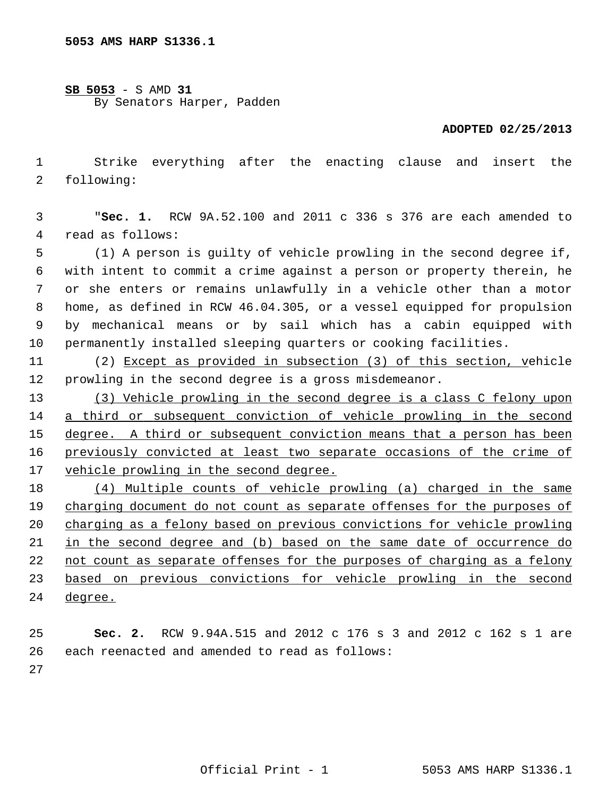**SB 5053** - S AMD **31** By Senators Harper, Padden

## **ADOPTED 02/25/2013**

 1 Strike everything after the enacting clause and insert the 2 following:

 3 "**Sec. 1.** RCW 9A.52.100 and 2011 c 336 s 376 are each amended to 4 read as follows:

 5 (1) A person is guilty of vehicle prowling in the second degree if, 6 with intent to commit a crime against a person or property therein, he 7 or she enters or remains unlawfully in a vehicle other than a motor 8 home, as defined in RCW 46.04.305, or a vessel equipped for propulsion 9 by mechanical means or by sail which has a cabin equipped with 10 permanently installed sleeping quarters or cooking facilities.

11 (2) Except as provided in subsection (3) of this section, vehicle 12 prowling in the second degree is a gross misdemeanor.

 (3) Vehicle prowling in the second degree is a class C felony upon a third or subsequent conviction of vehicle prowling in the second degree. A third or subsequent conviction means that a person has been previously convicted at least two separate occasions of the crime of vehicle prowling in the second degree.

 (4) Multiple counts of vehicle prowling (a) charged in the same charging document do not count as separate offenses for the purposes of charging as a felony based on previous convictions for vehicle prowling in the second degree and (b) based on the same date of occurrence do not count as separate offenses for the purposes of charging as a felony based on previous convictions for vehicle prowling in the second 24 degree.

25 **Sec. 2.** RCW 9.94A.515 and 2012 c 176 s 3 and 2012 c 162 s 1 are 26 each reenacted and amended to read as follows:

27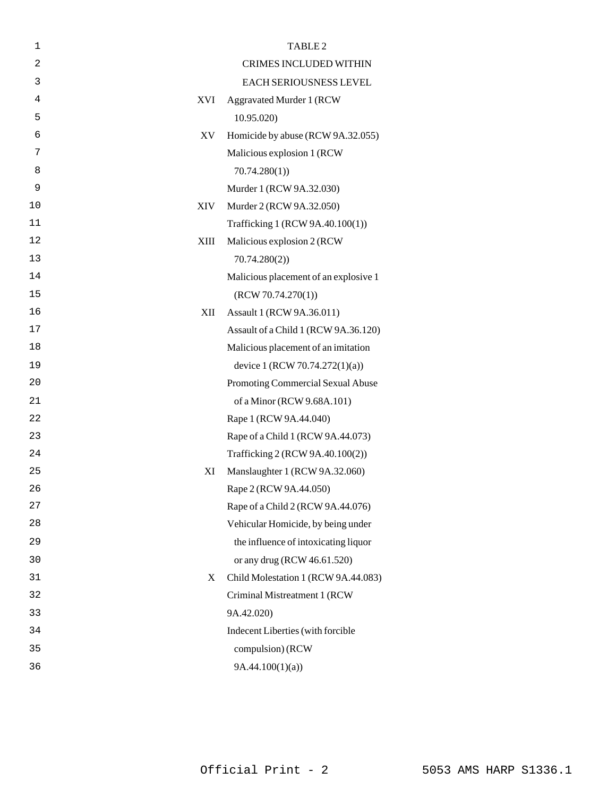| $\mathbf 1$    | TABLE <sub>2</sub>                       |  |
|----------------|------------------------------------------|--|
| $\overline{c}$ | <b>CRIMES INCLUDED WITHIN</b>            |  |
| 3              | EACH SERIOUSNESS LEVEL                   |  |
| 4              | XVI<br><b>Aggravated Murder 1 (RCW)</b>  |  |
| 5              | 10.95.020                                |  |
| 6              | Homicide by abuse (RCW 9A.32.055)<br>XV  |  |
| 7              | Malicious explosion 1 (RCW               |  |
| 8              | 70.74.280(1)                             |  |
| 9              | Murder 1 (RCW 9A.32.030)                 |  |
| 10             | XIV<br>Murder 2 (RCW 9A.32.050)          |  |
| 11             | Trafficking 1 (RCW 9A.40.100(1))         |  |
| 12             | XIII<br>Malicious explosion 2 (RCW)      |  |
| 13             | 70.74.280(2)                             |  |
| 14             | Malicious placement of an explosive 1    |  |
| 15             | (RCW 70.74.270(1))                       |  |
| 16             | Assault 1 (RCW 9A.36.011)<br>XII         |  |
| 17             | Assault of a Child 1 (RCW 9A.36.120)     |  |
| 18             | Malicious placement of an imitation      |  |
| 19             | device 1 (RCW 70.74.272(1)(a))           |  |
| 20             | Promoting Commercial Sexual Abuse        |  |
| 21             | of a Minor (RCW 9.68A.101)               |  |
| 22             | Rape 1 (RCW 9A.44.040)                   |  |
| 23             | Rape of a Child 1 (RCW 9A.44.073)        |  |
| 24             | Trafficking 2 (RCW 9A.40.100(2))         |  |
| 25             | Manslaughter 1 (RCW 9A.32.060)<br>XI     |  |
| 26             | Rape 2 (RCW 9A.44.050)                   |  |
| 27             | Rape of a Child 2 (RCW 9A.44.076)        |  |
| 28             | Vehicular Homicide, by being under       |  |
| 29             | the influence of intoxicating liquor     |  |
| 30             | or any drug (RCW 46.61.520)              |  |
| 31             | Child Molestation 1 (RCW 9A.44.083)<br>X |  |
| 32             | Criminal Mistreatment 1 (RCW             |  |
| 33             | 9A.42.020)                               |  |
| 34             | Indecent Liberties (with forcible        |  |
| 35             | compulsion) (RCW                         |  |
| 36             | 9A.44.100(1)(a)                          |  |
|                |                                          |  |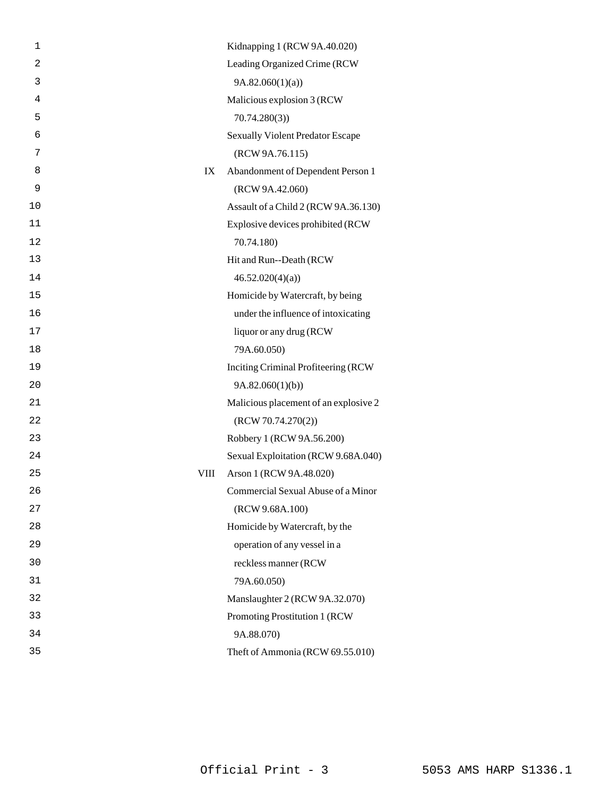| 1  |      | Kidnapping 1 (RCW 9A.40.020)            |
|----|------|-----------------------------------------|
| 2  |      | Leading Organized Crime (RCW            |
| 3  |      | 9A.82.060(1)(a)                         |
| 4  |      | Malicious explosion 3 (RCW              |
| 5  |      | 70.74.280(3)                            |
| 6  |      | <b>Sexually Violent Predator Escape</b> |
| 7  |      | (RCW 9A.76.115)                         |
| 8  | IX   | Abandonment of Dependent Person 1       |
| 9  |      | (RCW 9A.42.060)                         |
| 10 |      | Assault of a Child 2 (RCW 9A.36.130)    |
| 11 |      | Explosive devices prohibited (RCW       |
| 12 |      | 70.74.180)                              |
| 13 |      | Hit and Run--Death (RCW                 |
| 14 |      | 46.52.020(4)(a)                         |
| 15 |      | Homicide by Watercraft, by being        |
| 16 |      | under the influence of intoxicating     |
| 17 |      | liquor or any drug (RCW                 |
| 18 |      | 79A.60.050)                             |
| 19 |      | Inciting Criminal Profiteering (RCW     |
| 20 |      | 9A.82.060(1)(b)                         |
| 21 |      | Malicious placement of an explosive 2   |
| 22 |      | (RCW 70.74.270(2))                      |
| 23 |      | Robbery 1 (RCW 9A.56.200)               |
| 24 |      | Sexual Exploitation (RCW 9.68A.040)     |
| 25 | VIII | Arson 1 (RCW 9A.48.020)                 |
| 26 |      | Commercial Sexual Abuse of a Minor      |
| 27 |      | (RCW 9.68A.100)                         |
| 28 |      | Homicide by Watercraft, by the          |
| 29 |      | operation of any vessel in a            |
| 30 |      | reckless manner (RCW                    |
| 31 |      | 79A.60.050)                             |
| 32 |      | Manslaughter 2 (RCW 9A.32.070)          |
| 33 |      | Promoting Prostitution 1 (RCW           |
| 34 |      | 9A.88.070)                              |
| 35 |      | Theft of Ammonia (RCW 69.55.010)        |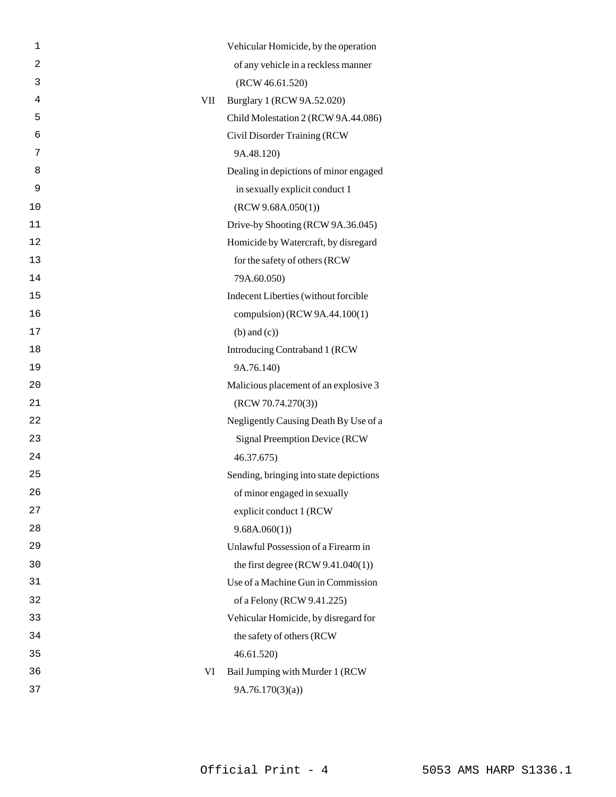| 1  |     | Vehicular Homicide, by the operation    |
|----|-----|-----------------------------------------|
| 2  |     | of any vehicle in a reckless manner     |
| 3  |     | (RCW 46.61.520)                         |
| 4  | VII | Burglary 1 (RCW 9A.52.020)              |
| 5  |     | Child Molestation 2 (RCW 9A.44.086)     |
| 6  |     | Civil Disorder Training (RCW            |
| 7  |     | 9A.48.120)                              |
| 8  |     | Dealing in depictions of minor engaged  |
| 9  |     | in sexually explicit conduct 1          |
| 10 |     | (RCW 9.68A.050(1))                      |
| 11 |     | Drive-by Shooting (RCW 9A.36.045)       |
| 12 |     | Homicide by Watercraft, by disregard    |
| 13 |     | for the safety of others (RCW           |
| 14 |     | 79A.60.050)                             |
| 15 |     | Indecent Liberties (without forcible    |
| 16 |     | compulsion) (RCW 9A.44.100(1)           |
| 17 |     | $(b)$ and $(c)$ )                       |
| 18 |     | Introducing Contraband 1 (RCW           |
| 19 |     | 9A.76.140)                              |
| 20 |     | Malicious placement of an explosive 3   |
| 21 |     | (RCW 70.74.270(3))                      |
| 22 |     | Negligently Causing Death By Use of a   |
| 23 |     | Signal Preemption Device (RCW           |
| 24 |     | 46.37.675)                              |
| 25 |     | Sending, bringing into state depictions |
| 26 |     | of minor engaged in sexually            |
| 27 |     | explicit conduct 1 (RCW                 |
| 28 |     | 9.68A.060(1)                            |
| 29 |     | Unlawful Possession of a Firearm in     |
| 30 |     | the first degree $(RCW 9.41.040(1))$    |
| 31 |     | Use of a Machine Gun in Commission      |
| 32 |     | of a Felony (RCW 9.41.225)              |
| 33 |     | Vehicular Homicide, by disregard for    |
| 34 |     | the safety of others (RCW               |
| 35 |     | 46.61.520)                              |
| 36 | VI  | Bail Jumping with Murder 1 (RCW         |
| 37 |     | 9A.76.170(3)(a)                         |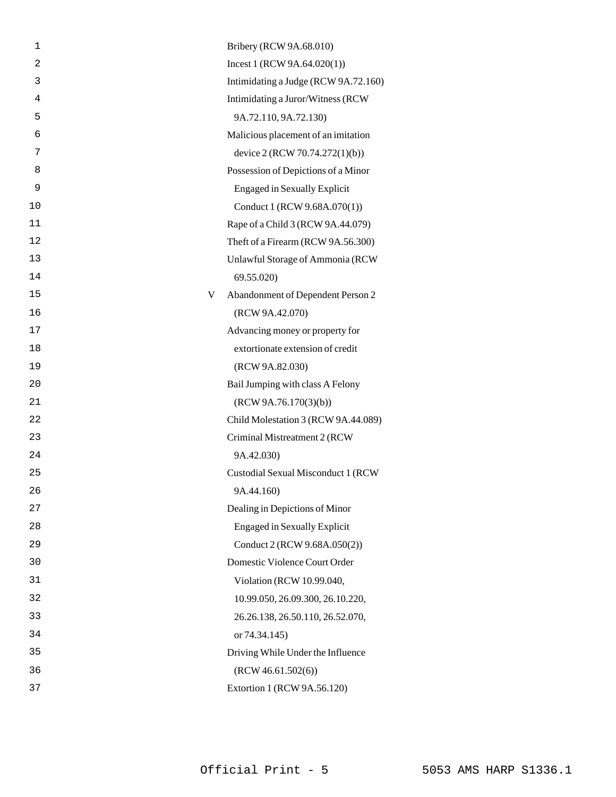| 1              |   | Bribery (RCW 9A.68.010)              |
|----------------|---|--------------------------------------|
| $\overline{c}$ |   | Incest 1 (RCW 9A.64.020(1))          |
| 3              |   | Intimidating a Judge (RCW 9A.72.160) |
| 4              |   | Intimidating a Juror/Witness (RCW)   |
| 5              |   | 9A.72.110, 9A.72.130)                |
| 6              |   | Malicious placement of an imitation  |
| 7              |   | device 2 (RCW 70.74.272(1)(b))       |
| 8              |   | Possession of Depictions of a Minor  |
| 9              |   | <b>Engaged in Sexually Explicit</b>  |
| 10             |   | Conduct 1 (RCW 9.68A.070(1))         |
| 11             |   | Rape of a Child 3 (RCW 9A.44.079)    |
| 12             |   | Theft of a Firearm (RCW 9A.56.300)   |
| 13             |   | Unlawful Storage of Ammonia (RCW     |
| 14             |   | 69.55.020)                           |
| 15             | V | Abandonment of Dependent Person 2    |
| 16             |   | (RCW 9A.42.070)                      |
| 17             |   | Advancing money or property for      |
| 18             |   | extortionate extension of credit     |
| 19             |   | (RCW 9A.82.030)                      |
| 20             |   | Bail Jumping with class A Felony     |
| 21             |   | (RCW 9A.76.170(3)(b))                |
| 22             |   | Child Molestation 3 (RCW 9A.44.089)  |
| 23             |   | Criminal Mistreatment 2 (RCW         |
| 24             |   | 9A.42.030)                           |
| 25             |   | Custodial Sexual Misconduct 1 (RCW   |
| 26             |   | 9A.44.160)                           |
| 27             |   | Dealing in Depictions of Minor       |
| 28             |   | <b>Engaged in Sexually Explicit</b>  |
| 29             |   | Conduct 2 (RCW 9.68A.050(2))         |
| 30             |   | Domestic Violence Court Order        |
| 31             |   | Violation (RCW 10.99.040,            |
| 32             |   | 10.99.050, 26.09.300, 26.10.220,     |
| 33             |   | 26.26.138, 26.50.110, 26.52.070,     |
| 34             |   | or 74.34.145)                        |
| 35             |   | Driving While Under the Influence    |
| 36             |   | (RCW 46.61.502(6))                   |
| 37             |   | Extortion 1 (RCW 9A.56.120)          |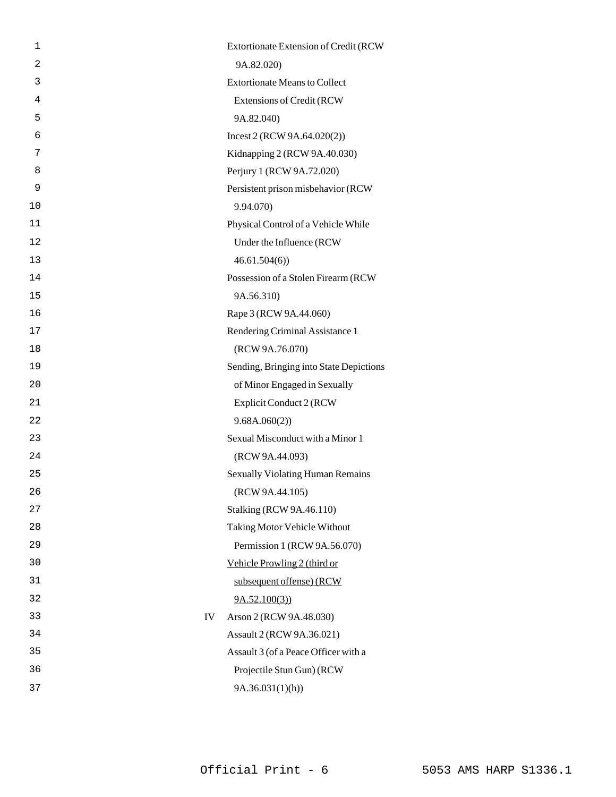| 1              | Extortionate Extension of Credit (RCW   |
|----------------|-----------------------------------------|
| $\overline{2}$ | 9A.82.020)                              |
| 3              | <b>Extortionate Means to Collect</b>    |
| 4              | <b>Extensions of Credit (RCW</b>        |
| 5              | 9A.82.040)                              |
| 6              | Incest 2 (RCW 9A.64.020(2))             |
| 7              | Kidnapping 2 (RCW 9A.40.030)            |
| 8              | Perjury 1 (RCW 9A.72.020)               |
| 9              | Persistent prison misbehavior (RCW      |
| 10             | 9.94.070)                               |
| 11             | Physical Control of a Vehicle While     |
| 12             | Under the Influence (RCW                |
| 13             | 46.61.504(6)                            |
| 14             | Possession of a Stolen Firearm (RCW     |
| 15             | 9A.56.310)                              |
| 16             | Rape 3 (RCW 9A.44.060)                  |
| 17             | Rendering Criminal Assistance 1         |
| 18             | (RCW 9A.76.070)                         |
| 19             | Sending, Bringing into State Depictions |
| 20             | of Minor Engaged in Sexually            |
| 21             | Explicit Conduct 2 (RCW                 |
| 22             | 9.68A.060(2))                           |
| 23             | Sexual Misconduct with a Minor 1        |
| 24             | (RCW 9A.44.093)                         |
| 25             | <b>Sexually Violating Human Remains</b> |
| 26             | (RCW 9A.44.105)                         |
| 27             | <b>Stalking (RCW 9A.46.110)</b>         |
| 28             | Taking Motor Vehicle Without            |
| 29             | Permission 1 (RCW 9A.56.070)            |
| 30             | Vehicle Prowling 2 (third or            |
| 31             | subsequent offense) (RCW                |
| 32             | 9A.52.100(3)                            |
| 33<br>IV       | Arson 2 (RCW 9A.48.030)                 |
| 34             | Assault 2 (RCW 9A.36.021)               |
| 35             | Assault 3 (of a Peace Officer with a    |
| 36             | Projectile Stun Gun) (RCW               |
| 37             | 9A.36.031(1)(h)                         |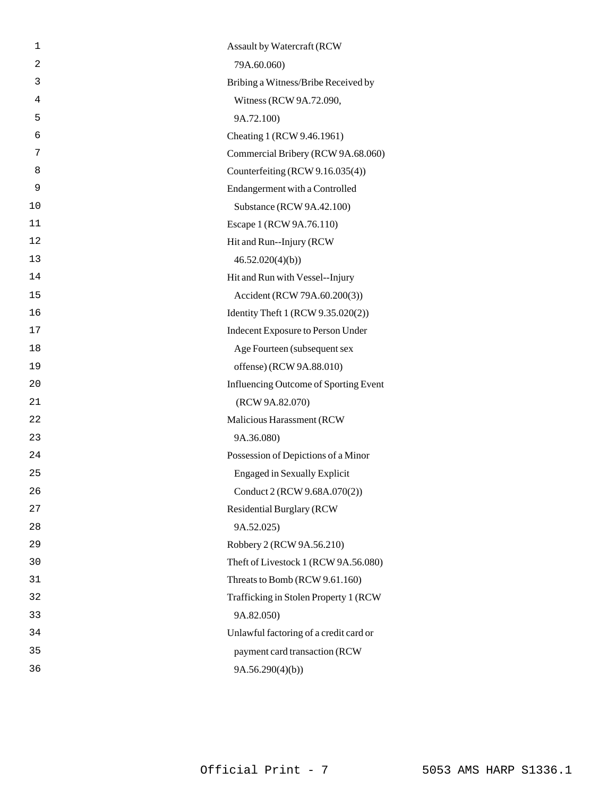| 1              | Assault by Watercraft (RCW             |
|----------------|----------------------------------------|
| $\overline{2}$ | 79A.60.060)                            |
| 3              | Bribing a Witness/Bribe Received by    |
| 4              | Witness (RCW 9A.72.090,                |
| 5              | 9A.72.100)                             |
| 6              | Cheating 1 (RCW 9.46.1961)             |
| 7              | Commercial Bribery (RCW 9A.68.060)     |
| 8              | Counterfeiting (RCW 9.16.035(4))       |
| 9              | Endangerment with a Controlled         |
| 10             | Substance (RCW 9A.42.100)              |
| 11             | Escape 1 (RCW 9A.76.110)               |
| 12             | Hit and Run--Injury (RCW)              |
| 13             | 46.52.020(4)(b)                        |
| 14             | Hit and Run with Vessel--Injury        |
| 15             | Accident (RCW 79A.60.200(3))           |
| 16             | Identity Theft 1 (RCW 9.35.020(2))     |
| 17             | Indecent Exposure to Person Under      |
| 18             | Age Fourteen (subsequent sex           |
| 19             | offense) (RCW 9A.88.010)               |
| 20             | Influencing Outcome of Sporting Event  |
| 21             | (RCW 9A.82.070)                        |
| 22             | Malicious Harassment (RCW              |
| 23             | 9A.36.080)                             |
| 24             | Possession of Depictions of a Minor    |
| 25             | <b>Engaged in Sexually Explicit</b>    |
| 26             | Conduct 2 (RCW 9.68A.070(2))           |
| 27             | <b>Residential Burglary (RCW)</b>      |
| 28             | 9A.52.025)                             |
| 29             | Robbery 2 (RCW 9A.56.210)              |
| 30             | Theft of Livestock 1 (RCW 9A.56.080)   |
| 31             | Threats to Bomb (RCW 9.61.160)         |
| 32             | Trafficking in Stolen Property 1 (RCW  |
| 33             | 9A.82.050)                             |
| 34             | Unlawful factoring of a credit card or |
| 35             | payment card transaction (RCW          |
| 36             | 9A.56.290(4)(b)                        |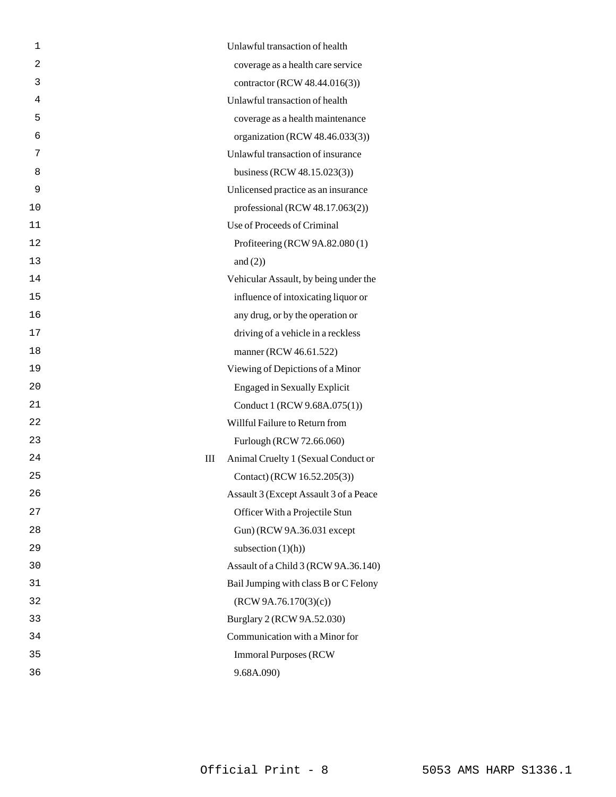| 1              | Unlawful transaction of health           |
|----------------|------------------------------------------|
| $\overline{2}$ | coverage as a health care service        |
| 3              | contractor (RCW 48.44.016(3))            |
| 4              | Unlawful transaction of health           |
| 5              | coverage as a health maintenance         |
| 6              | organization (RCW 48.46.033(3))          |
| 7              | Unlawful transaction of insurance        |
| 8              | business (RCW 48.15.023(3))              |
| 9              | Unlicensed practice as an insurance      |
| 10             | professional (RCW 48.17.063(2))          |
| 11             | Use of Proceeds of Criminal              |
| 12             | Profiteering (RCW 9A.82.080 (1)          |
| 13             | and $(2)$ )                              |
| 14             | Vehicular Assault, by being under the    |
| 15             | influence of intoxicating liquor or      |
| 16             | any drug, or by the operation or         |
| 17             | driving of a vehicle in a reckless       |
| 18             | manner (RCW 46.61.522)                   |
| 19             | Viewing of Depictions of a Minor         |
| 20             | <b>Engaged in Sexually Explicit</b>      |
| 21             | Conduct 1 (RCW 9.68A.075(1))             |
| 22             | Willful Failure to Return from           |
| 23             | Furlough (RCW 72.66.060)                 |
| 24             | Ш<br>Animal Cruelty 1 (Sexual Conduct or |
| 25             | Contact) (RCW 16.52.205(3))              |
| 26             | Assault 3 (Except Assault 3 of a Peace   |
| 27             | Officer With a Projectile Stun           |
| 28             | Gun) (RCW 9A.36.031 except               |
| 29             | subsection $(1)(h)$ )                    |
| 30             | Assault of a Child 3 (RCW 9A.36.140)     |
| 31             | Bail Jumping with class B or C Felony    |
| 32             | (RCW 9A.76.170(3)(c))                    |
| 33             | Burglary 2 (RCW 9A.52.030)               |
| 34             | Communication with a Minor for           |
| 35             | <b>Immoral Purposes (RCW)</b>            |
| 36             | 9.68A.090)                               |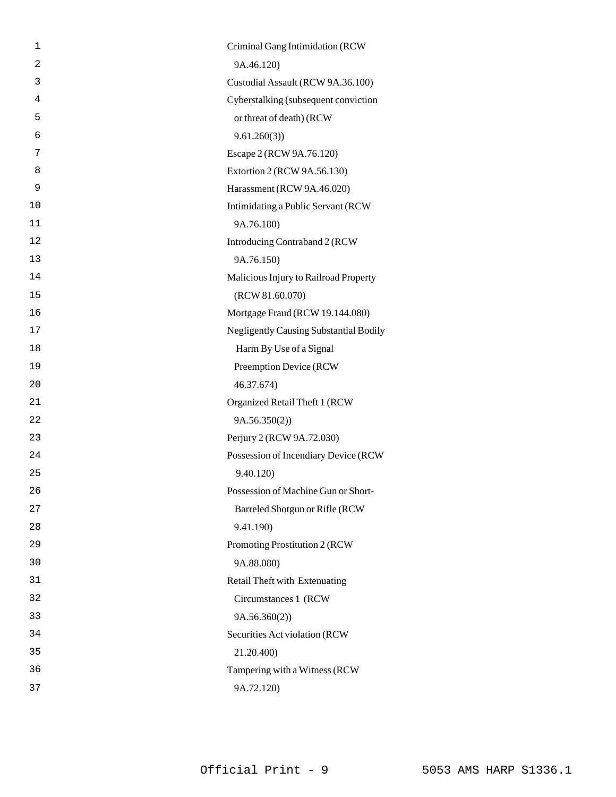| 1              | Criminal Gang Intimidation (RCW               |
|----------------|-----------------------------------------------|
| $\overline{2}$ | 9A.46.120)                                    |
| 3              | Custodial Assault (RCW 9A.36.100)             |
| 4              | Cyberstalking (subsequent conviction          |
| 5              | or threat of death) (RCW                      |
| 6              | 9.61.260(3)                                   |
| 7              | Escape 2 (RCW 9A.76.120)                      |
| 8              | Extortion 2 (RCW 9A.56.130)                   |
| 9              | Harassment (RCW 9A.46.020)                    |
| 10             | Intimidating a Public Servant (RCW            |
| 11             | 9A.76.180)                                    |
| 12             | Introducing Contraband 2 (RCW                 |
| 13             | 9A.76.150)                                    |
| 14             | Malicious Injury to Railroad Property         |
| 15             | (RCW 81.60.070)                               |
| 16             | Mortgage Fraud (RCW 19.144.080)               |
| 17             | <b>Negligently Causing Substantial Bodily</b> |
| 18             | Harm By Use of a Signal                       |
| 19             | Preemption Device (RCW                        |
| 20             | 46.37.674)                                    |
| 21             | Organized Retail Theft 1 (RCW                 |
| 22             | 9A.56.350(2)                                  |
| 23             | Perjury 2 (RCW 9A.72.030)                     |
| 24             | Possession of Incendiary Device (RCW          |
| 25             | 9.40.120)                                     |
| 26             | Possession of Machine Gun or Short-           |
| 27             | Barreled Shotgun or Rifle (RCW                |
| 28             | 9.41.190)                                     |
| 29             | Promoting Prostitution 2 (RCW                 |
| 30             | 9A.88.080)                                    |
| 31             | Retail Theft with Extenuating                 |
| 32             | Circumstances 1 (RCW                          |
| 33             | 9A.56.360(2))                                 |
| 34             | Securities Act violation (RCW                 |
| 35             | 21.20.400)                                    |
| 36             | Tampering with a Witness (RCW                 |
| 37             | 9A.72.120)                                    |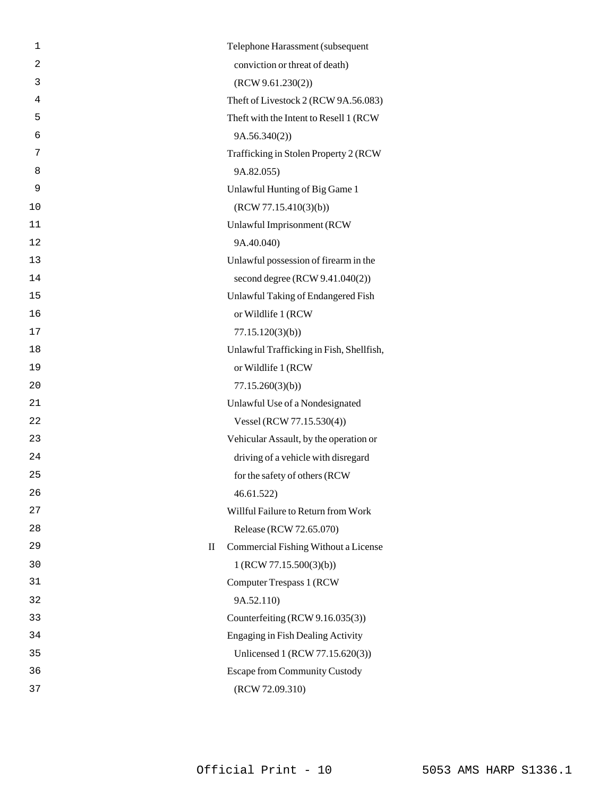| $\mathbf 1$                           | Telephone Harassment (subsequent         |
|---------------------------------------|------------------------------------------|
| $\overline{c}$                        | conviction or threat of death)           |
| 3                                     | (RCW 9.61.230(2))                        |
| 4                                     | Theft of Livestock 2 (RCW 9A.56.083)     |
| 5                                     | Theft with the Intent to Resell 1 (RCW   |
| 6                                     | 9A.56.340(2))                            |
| 7                                     | Trafficking in Stolen Property 2 (RCW    |
| 8                                     | 9A.82.055)                               |
| 9                                     | Unlawful Hunting of Big Game 1           |
| 10                                    | (RCW 77.15.410(3)(b))                    |
| 11                                    | Unlawful Imprisonment (RCW               |
| 12                                    | 9A.40.040)                               |
| 13                                    | Unlawful possession of firearm in the    |
| 14                                    | second degree (RCW 9.41.040(2))          |
| 15                                    | Unlawful Taking of Endangered Fish       |
| 16                                    | or Wildlife 1 (RCW                       |
| 17                                    | 77.15.120(3)(b)                          |
| 18                                    | Unlawful Trafficking in Fish, Shellfish, |
| 19                                    | or Wildlife 1 (RCW                       |
| 20                                    | 77.15.260(3)(b)                          |
| 21                                    | Unlawful Use of a Nondesignated          |
| 22                                    | Vessel (RCW 77.15.530(4))                |
| 23                                    | Vehicular Assault, by the operation or   |
| 24                                    | driving of a vehicle with disregard      |
| 25                                    | for the safety of others (RCW            |
| 26                                    | 46.61.522)                               |
| 27                                    | Willful Failure to Return from Work      |
| 28                                    | Release (RCW 72.65.070)                  |
| 29<br>$\mathop{\mathrm{II}}\nolimits$ | Commercial Fishing Without a License     |
| 30                                    | 1 (RCW 77.15.500(3)(b))                  |
| 31                                    | <b>Computer Trespass 1 (RCW)</b>         |
| 32                                    | 9A.52.110)                               |
| 33                                    | Counterfeiting (RCW 9.16.035(3))         |
| 34                                    | <b>Engaging in Fish Dealing Activity</b> |
| 35                                    | Unlicensed 1 (RCW 77.15.620(3))          |
| 36                                    | <b>Escape from Community Custody</b>     |
| 37                                    | (RCW 72.09.310)                          |
|                                       |                                          |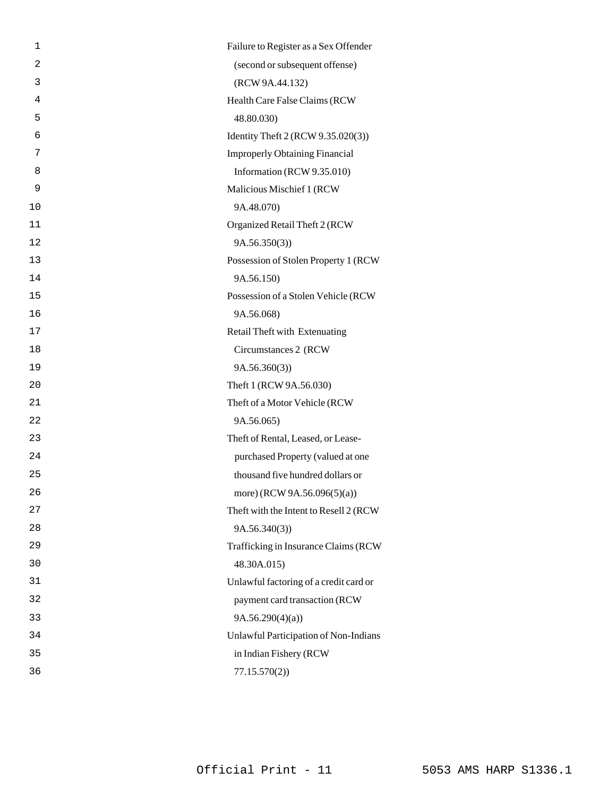| 1  | Failure to Register as a Sex Offender  |
|----|----------------------------------------|
| 2  | (second or subsequent offense)         |
| 3  | (RCW 9A.44.132)                        |
| 4  | Health Care False Claims (RCW          |
| 5  | 48.80.030)                             |
| 6  | Identity Theft 2 (RCW 9.35.020(3))     |
| 7  | <b>Improperly Obtaining Financial</b>  |
| 8  | Information (RCW 9.35.010)             |
| 9  | Malicious Mischief 1 (RCW              |
| 10 | 9A.48.070)                             |
| 11 | Organized Retail Theft 2 (RCW          |
| 12 | 9A.56.350(3)                           |
| 13 | Possession of Stolen Property 1 (RCW   |
| 14 | 9A.56.150)                             |
| 15 | Possession of a Stolen Vehicle (RCW    |
| 16 | 9A.56.068)                             |
| 17 | Retail Theft with Extenuating          |
| 18 | Circumstances 2 (RCW                   |
| 19 | 9A.56.360(3)                           |
| 20 | Theft 1 (RCW 9A.56.030)                |
| 21 | Theft of a Motor Vehicle (RCW          |
| 22 | 9A.56.065)                             |
| 23 | Theft of Rental, Leased, or Lease-     |
| 24 | purchased Property (valued at one      |
| 25 | thousand five hundred dollars or       |
| 26 | more) (RCW 9A.56.096(5)(a))            |
| 27 | Theft with the Intent to Resell 2 (RCW |
| 28 | 9A.56.340(3)                           |
| 29 | Trafficking in Insurance Claims (RCW   |
| 30 | 48.30A.015)                            |
| 31 | Unlawful factoring of a credit card or |
| 32 | payment card transaction (RCW          |
| 33 | 9A.56.290(4)(a)                        |
| 34 | Unlawful Participation of Non-Indians  |
| 35 | in Indian Fishery (RCW                 |
| 36 | 77.15.570(2)                           |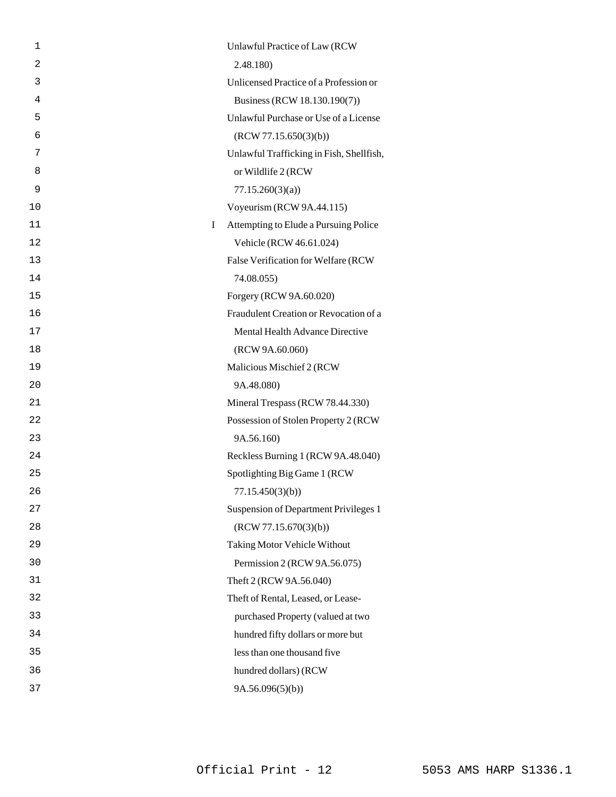| 1       | Unlawful Practice of Law (RCW            |
|---------|------------------------------------------|
| 2       | 2.48.180)                                |
| 3       | Unlicensed Practice of a Profession or   |
| 4       | Business (RCW 18.130.190(7))             |
| 5       | Unlawful Purchase or Use of a License    |
| 6       | (RCW 77.15.650(3)(b))                    |
| 7       | Unlawful Trafficking in Fish, Shellfish, |
| 8       | or Wildlife 2 (RCW)                      |
| 9       | 77.15.260(3)(a)                          |
| 10      | Voyeurism (RCW 9A.44.115)                |
| 11<br>L | Attempting to Elude a Pursuing Police    |
| 12      | Vehicle (RCW 46.61.024)                  |
| 13      | False Verification for Welfare (RCW      |
| 14      | 74.08.055)                               |
| 15      | Forgery (RCW 9A.60.020)                  |
| 16      | Fraudulent Creation or Revocation of a   |
| 17      | Mental Health Advance Directive          |
| 18      | (RCW 9A.60.060)                          |
| 19      | Malicious Mischief 2 (RCW                |
| 20      | 9A.48.080)                               |
| 21      | Mineral Trespass (RCW 78.44.330)         |
| 22      | Possession of Stolen Property 2 (RCW     |
| 23      | 9A.56.160)                               |
| 24      | Reckless Burning 1 (RCW 9A.48.040)       |
| 25      | Spotlighting Big Game 1 (RCW)            |
| 26      | 77.15.450(3)(b)                          |
| 27      | Suspension of Department Privileges 1    |
| 28      | (RCW 77.15.670(3)(b))                    |
| 29      | <b>Taking Motor Vehicle Without</b>      |
| 30      | Permission 2 (RCW 9A.56.075)             |
| 31      | Theft 2 (RCW 9A.56.040)                  |
| 32      | Theft of Rental, Leased, or Lease-       |
| 33      | purchased Property (valued at two        |
| 34      | hundred fifty dollars or more but        |
| 35      | less than one thousand five              |
| 36      | hundred dollars) (RCW                    |
| 37      | 9A.56.096(5)(b)                          |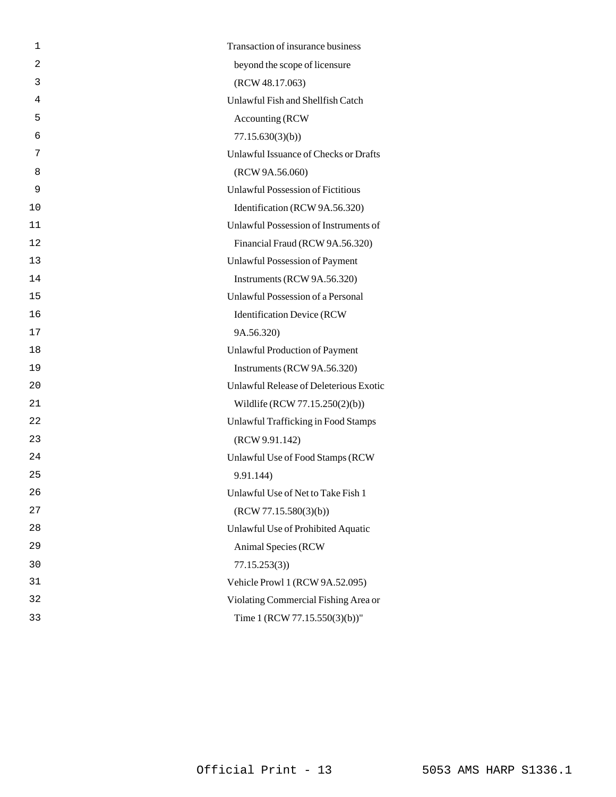| 1  | Transaction of insurance business        |
|----|------------------------------------------|
| 2  | beyond the scope of licensure            |
| 3  | (RCW 48.17.063)                          |
| 4  | Unlawful Fish and Shellfish Catch        |
| 5  | Accounting (RCW                          |
| 6  | 77.15.630(3)(b)                          |
| 7  | Unlawful Issuance of Checks or Drafts    |
| 8  | (RCW 9A.56.060)                          |
| 9  | <b>Unlawful Possession of Fictitious</b> |
| 10 | Identification (RCW 9A.56.320)           |
| 11 | Unlawful Possession of Instruments of    |
| 12 | Financial Fraud (RCW 9A.56.320)          |
| 13 | <b>Unlawful Possession of Payment</b>    |
| 14 | Instruments (RCW 9A.56.320)              |
| 15 | Unlawful Possession of a Personal        |
| 16 | <b>Identification Device (RCW</b>        |
| 17 | 9A.56.320)                               |
| 18 | Unlawful Production of Payment           |
| 19 | Instruments (RCW 9A.56.320)              |
| 20 | Unlawful Release of Deleterious Exotic   |
| 21 | Wildlife (RCW 77.15.250(2)(b))           |
| 22 | Unlawful Trafficking in Food Stamps      |
| 23 | (RCW 9.91.142)                           |
| 24 | Unlawful Use of Food Stamps (RCW         |
| 25 | 9.91.144)                                |
| 26 | Unlawful Use of Net to Take Fish 1       |
| 27 | (RCW 77.15.580(3)(b))                    |
| 28 | Unlawful Use of Prohibited Aquatic       |
| 29 | <b>Animal Species (RCW)</b>              |
| 30 | 77.15.253(3)                             |
| 31 | Vehicle Prowl 1 (RCW 9A.52.095)          |
| 32 | Violating Commercial Fishing Area or     |
| 33 | Time 1 (RCW 77.15.550(3)(b))"            |